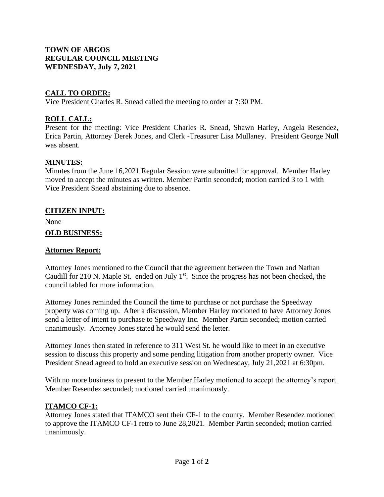# **TOWN OF ARGOS REGULAR COUNCIL MEETING WEDNESDAY, July 7, 2021**

# **CALL TO ORDER:**

Vice President Charles R. Snead called the meeting to order at 7:30 PM.

# **ROLL CALL:**

Present for the meeting: Vice President Charles R. Snead, Shawn Harley, Angela Resendez, Erica Partin, Attorney Derek Jones, and Clerk -Treasurer Lisa Mullaney. President George Null was absent.

### **MINUTES:**

Minutes from the June 16,2021 Regular Session were submitted for approval. Member Harley moved to accept the minutes as written. Member Partin seconded; motion carried 3 to 1 with Vice President Snead abstaining due to absence.

#### **CITIZEN INPUT:**

None

#### **OLD BUSINESS:**

#### **Attorney Report:**

Attorney Jones mentioned to the Council that the agreement between the Town and Nathan Caudill for 210 N. Maple St. ended on July  $1<sup>st</sup>$ . Since the progress has not been checked, the council tabled for more information.

Attorney Jones reminded the Council the time to purchase or not purchase the Speedway property was coming up. After a discussion, Member Harley motioned to have Attorney Jones send a letter of intent to purchase to Speedway Inc. Member Partin seconded; motion carried unanimously. Attorney Jones stated he would send the letter.

Attorney Jones then stated in reference to 311 West St. he would like to meet in an executive session to discuss this property and some pending litigation from another property owner. Vice President Snead agreed to hold an executive session on Wednesday, July 21,2021 at 6:30pm.

With no more business to present to the Member Harley motioned to accept the attorney's report. Member Resendez seconded; motioned carried unanimously.

### **ITAMCO CF-1:**

Attorney Jones stated that ITAMCO sent their CF-1 to the county. Member Resendez motioned to approve the ITAMCO CF-1 retro to June 28,2021. Member Partin seconded; motion carried unanimously.